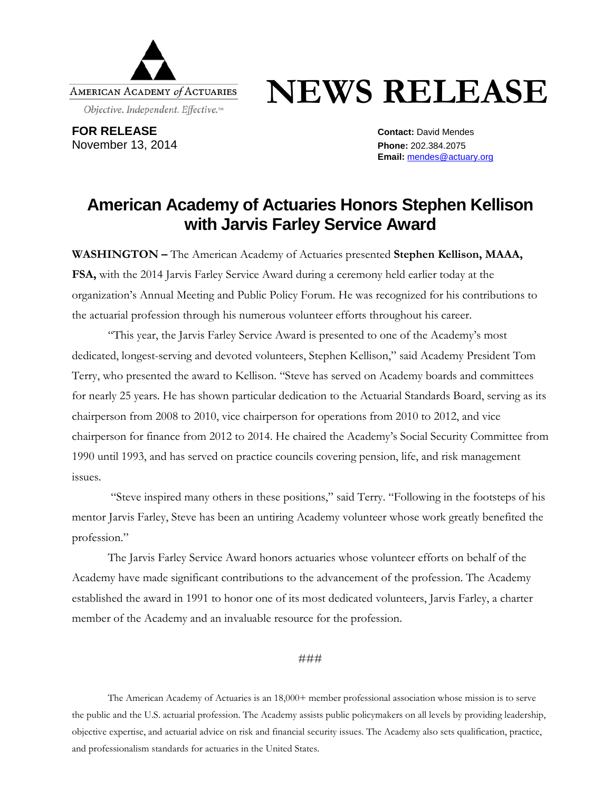

## **NEWS RELEASE**

**FOR RELEASE Contact:** David Mendes November 13, 2014 **Phone:** 202.384.2075

**Email:** [mendes@actuary.org](mailto:mendes@actuary.org)

## **American Academy of Actuaries Honors Stephen Kellison with Jarvis Farley Service Award**

**WASHINGTON –** The American Academy of Actuaries presented **Stephen Kellison, MAAA, FSA,** with the 2014 Jarvis Farley Service Award during a ceremony held earlier today at the organization's Annual Meeting and Public Policy Forum. He was recognized for his contributions to the actuarial profession through his numerous volunteer efforts throughout his career.

"This year, the Jarvis Farley Service Award is presented to one of the Academy's most dedicated, longest-serving and devoted volunteers, Stephen Kellison," said Academy President Tom Terry, who presented the award to Kellison. "Steve has served on Academy boards and committees for nearly 25 years. He has shown particular dedication to the Actuarial Standards Board, serving as its chairperson from 2008 to 2010, vice chairperson for operations from 2010 to 2012, and vice chairperson for finance from 2012 to 2014. He chaired the Academy's Social Security Committee from 1990 until 1993, and has served on practice councils covering pension, life, and risk management issues.

"Steve inspired many others in these positions," said Terry. "Following in the footsteps of his mentor Jarvis Farley, Steve has been an untiring Academy volunteer whose work greatly benefited the profession."

The Jarvis Farley Service Award honors actuaries whose volunteer efforts on behalf of the Academy have made significant contributions to the advancement of the profession. The Academy established the award in 1991 to honor one of its most dedicated volunteers, Jarvis Farley, a charter member of the Academy and an invaluable resource for the profession.

###

The American Academy of Actuaries is an 18,000+ member professional association whose mission is to serve the public and the U.S. actuarial profession. The Academy assists public policymakers on all levels by providing leadership, objective expertise, and actuarial advice on risk and financial security issues. The Academy also sets qualification, practice, and professionalism standards for actuaries in the United States.